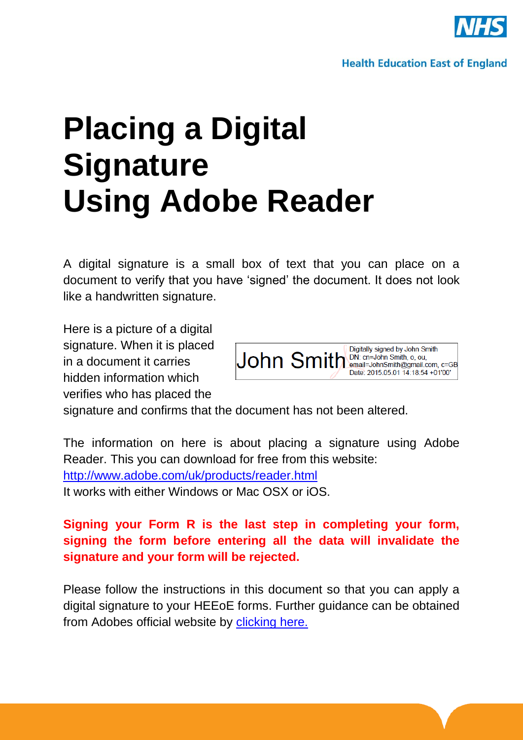

# **Placing a Digital Signature Using Adobe Reader**

A digital signature is a small box of text that you can place on a document to verify that you have "signed" the document. It does not look like a handwritten signature.

Here is a picture of a digital signature. When it is placed in a document it carries hidden information which verifies who has placed the



signature and confirms that the document has not been altered.

The information on here is about placing a signature using Adobe Reader. This you can download for free from this website: <http://www.adobe.com/uk/products/reader.html> It works with either Windows or Mac OSX or iOS.

## **Signing your Form R is the last step in completing your form, signing the form before entering all the data will invalidate the signature and your form will be rejected.**

Please follow the instructions in this document so that you can apply a digital signature to your HEEoE forms. Further guidance can be obtained from Adobes official website by [clicking here.](https://helpx.adobe.com/reader/11/using/sign-pdfs.html#sign_with_a_digital_id)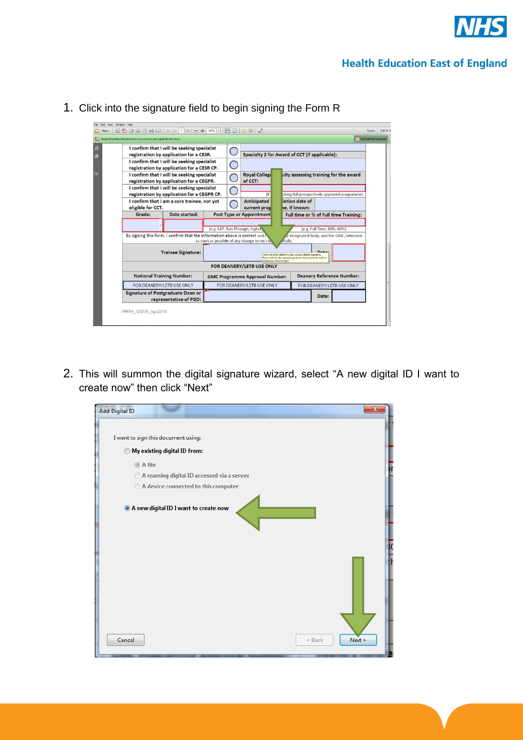

### **Health Education East of England**

| I confirm that I will be seeking specialist<br>registration by application for a CESR.                                                                                       |                                                                                            |  | Specialty 2 for Award of CCT (if applicable): |                                    |                                              |                                                                                                                           |                                       |  |  |
|------------------------------------------------------------------------------------------------------------------------------------------------------------------------------|--------------------------------------------------------------------------------------------|--|-----------------------------------------------|------------------------------------|----------------------------------------------|---------------------------------------------------------------------------------------------------------------------------|---------------------------------------|--|--|
|                                                                                                                                                                              | I confirm that I will be seeking specialist<br>registration by application for a CESR CP.  |  |                                               |                                    |                                              |                                                                                                                           |                                       |  |  |
| I confirm that I will be seeking specialist<br>registration by application for a CEGPR.                                                                                      |                                                                                            |  | Royal College<br>of CCT:                      |                                    | ulty assessing training for the award        |                                                                                                                           |                                       |  |  |
|                                                                                                                                                                              | I confirm that I will be seeking specialist<br>registration by application for a CEGPR CP. |  |                                               | (if                                | aking full prospectively approved programme) |                                                                                                                           |                                       |  |  |
| I confirm that I am a core trainee, not yet<br>eligible for CCT.                                                                                                             |                                                                                            |  |                                               | <b>Anticipated</b><br>current prog |                                              | letion date of<br>he. if known:                                                                                           |                                       |  |  |
| Grade:                                                                                                                                                                       | Date started:                                                                              |  |                                               | <b>Post Type or Appointment</b>    |                                              |                                                                                                                           | Full time or % of Full time Training: |  |  |
|                                                                                                                                                                              |                                                                                            |  |                                               | (e.g. LAT, Run Through, higher)    |                                              |                                                                                                                           | (e.g. Full Time, 80%, 60%)            |  |  |
| By signing this form, I confirm that the information above is correct and<br>Designated Body, and the GMC, informed<br>as soon as possible of any change to my co<br>etails. |                                                                                            |  |                                               |                                    |                                              |                                                                                                                           |                                       |  |  |
|                                                                                                                                                                              | <b>Trainee Signature:</b>                                                                  |  |                                               |                                    |                                              | Click and enter details to sign using a digital signature.<br>Please refer to the seperate quidance documents for further |                                       |  |  |
| assistance (Click to sign)<br>FOR DEANERY/LETB USE ONLY                                                                                                                      |                                                                                            |  |                                               |                                    |                                              |                                                                                                                           |                                       |  |  |
|                                                                                                                                                                              | <b>National Training Number:</b>                                                           |  | <b>GMC Programme Approval Number:</b>         |                                    |                                              | <b>Deanery Reference Number:</b>                                                                                          |                                       |  |  |
|                                                                                                                                                                              | FOR DEANERY/LETB USE ONLY                                                                  |  | FOR DEANERY/LETB USE ONLY                     |                                    |                                              |                                                                                                                           | FOR DEANERY/LETB USE ONLY             |  |  |
| Signature of Postgraduate Dean or<br>representative of PGD:                                                                                                                  |                                                                                            |  |                                               |                                    |                                              | Date:                                                                                                                     |                                       |  |  |

1. Click into the signature field to begin signing the Form R

2. This will summon the digital signature wizard, select "A new digital ID I want to create now" then click "Next"

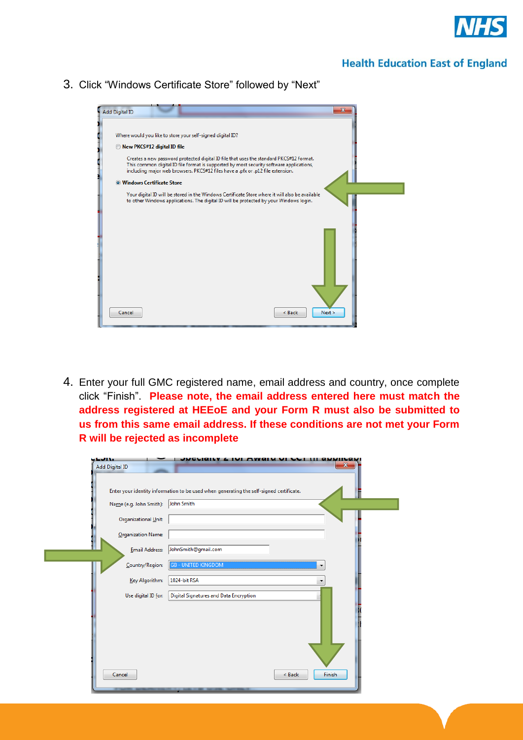

#### **Health Education East of England**

3. Click "Windows Certificate Store" followed by "Next"



4. Enter your full GMC registered name, email address and country, once complete click "Finish". **Please note, the email address entered here must match the address registered at HEEoE and your Form R must also be submitted to us from this same email address. If these conditions are not met your Form R will be rejected as incomplete**

| <b>STATISTICS</b><br><b>Add Digital ID</b> | $\mathbf{x}$                                                                            |
|--------------------------------------------|-----------------------------------------------------------------------------------------|
|                                            | Enter your identity information to be used when generating the self-signed certificate. |
| Name (e.g. John Smith):                    | John Smith                                                                              |
| Organizational Unit:                       |                                                                                         |
| Organization Name:                         |                                                                                         |
| <b>Email Address:</b>                      | JohnSmith@gmail.com                                                                     |
| Country/Region:                            | <b>GB - UNITED KINGDOM</b><br>▼                                                         |
| Key Algorithm:                             | 1024-bit RSA<br>▼                                                                       |
| Use digital ID for:                        | Digital Signatures and Data Encryption                                                  |
|                                            |                                                                                         |
|                                            |                                                                                         |
|                                            |                                                                                         |
|                                            |                                                                                         |
| Cancel                                     | Finish<br>< Back                                                                        |